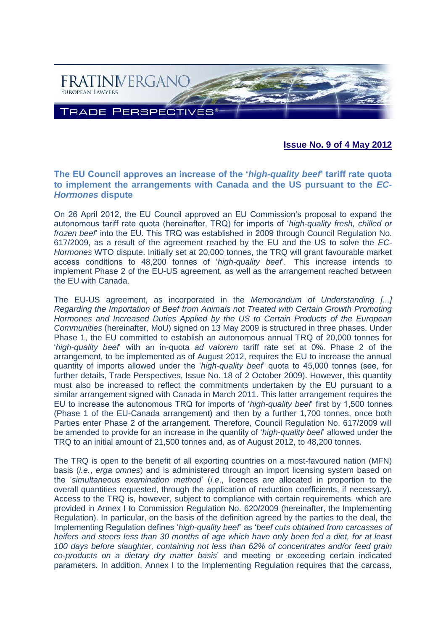

**Issue No. 9 of 4 May 2012**

## **The EU Council approves an increase of the '***high-quality beef***' tariff rate quota to implement the arrangements with Canada and the US pursuant to the** *EC-Hormones* **dispute**

On 26 April 2012, the EU Council approved an EU Commission's proposal to expand the autonomous tariff rate quota (hereinafter, TRQ) for imports of '*high-quality fresh, chilled or frozen beef*' into the EU. This TRQ was established in 2009 through Council Regulation No. 617/2009, as a result of the agreement reached by the EU and the US to solve the *EC-Hormones* WTO dispute. Initially set at 20,000 tonnes, the TRQ will grant favourable market access conditions to 48,200 tonnes of '*high-quality beef*'. This increase intends to implement Phase 2 of the EU-US agreement, as well as the arrangement reached between the EU with Canada.

The EU-US agreement, as incorporated in the *Memorandum of Understanding [...] Regarding the Importation of Beef from Animals not Treated with Certain Growth Promoting Hormones and Increased Duties Applied by the US to Certain Products of the European Communities* (hereinafter, MoU) signed on 13 May 2009 is structured in three phases. Under Phase 1, the EU committed to establish an autonomous annual TRQ of 20,000 tonnes for '*high-quality beef*' with an in-quota *ad valorem* tariff rate set at 0%. Phase 2 of the arrangement, to be implemented as of August 2012, requires the EU to increase the annual quantity of imports allowed under the '*high-quality beef*' quota to 45,000 tonnes (see, for further details, Trade Perspectives, Issue No. 18 of 2 October 2009). However, this quantity must also be increased to reflect the commitments undertaken by the EU pursuant to a similar arrangement signed with Canada in March 2011. This latter arrangement requires the EU to increase the autonomous TRQ for imports of '*high-quality beef*' first by 1,500 tonnes (Phase 1 of the EU-Canada arrangement) and then by a further 1,700 tonnes, once both Parties enter Phase 2 of the arrangement. Therefore, Council Regulation No. 617/2009 will be amended to provide for an increase in the quantity of '*high-quality beef*' allowed under the TRQ to an initial amount of 21,500 tonnes and, as of August 2012, to 48,200 tonnes.

The TRQ is open to the benefit of all exporting countries on a most-favoured nation (MFN) basis (*i.e.*, *erga omnes*) and is administered through an import licensing system based on the '*simultaneous examination method*' (*i.e*., licences are allocated in proportion to the overall quantities requested, through the application of reduction coefficients, if necessary). Access to the TRQ is, however, subject to compliance with certain requirements, which are provided in Annex I to Commission Regulation No. 620/2009 (hereinafter, the Implementing Regulation). In particular, on the basis of the definition agreed by the parties to the deal, the Implementing Regulation defines '*high-quality beef*' as '*beef cuts obtained from carcasses of heifers and steers less than 30 months of age which have only been fed a diet, for at least 100 days before slaughter, containing not less than 62% of concentrates and/or feed grain co-products on a dietary dry matter basis*' and meeting or exceeding certain indicated parameters. In addition, Annex I to the Implementing Regulation requires that the carcass,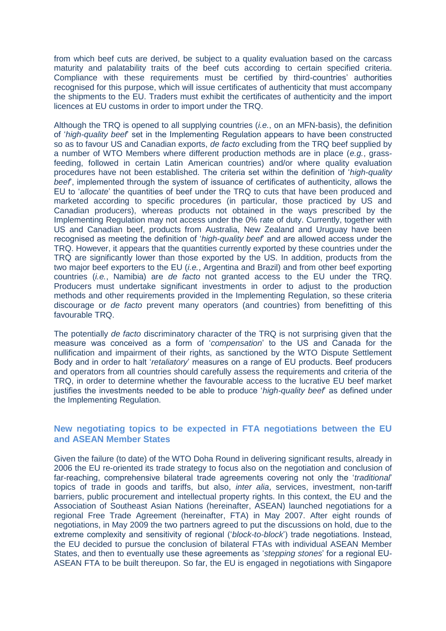from which beef cuts are derived, be subject to a quality evaluation based on the carcass maturity and palatability traits of the beef cuts according to certain specified criteria. Compliance with these requirements must be certified by third-countries' authorities recognised for this purpose, which will issue certificates of authenticity that must accompany the shipments to the EU. Traders must exhibit the certificates of authenticity and the import licences at EU customs in order to import under the TRQ.

Although the TRQ is opened to all supplying countries (*i.e.*, on an MFN-basis), the definition of '*high-quality beef*' set in the Implementing Regulation appears to have been constructed so as to favour US and Canadian exports, *de facto* excluding from the TRQ beef supplied by a number of WTO Members where different production methods are in place (*e.g.*, grassfeeding, followed in certain Latin American countries) and/or where quality evaluation procedures have not been established. The criteria set within the definition of '*high-quality beef*', implemented through the system of issuance of certificates of authenticity, allows the EU to '*allocate*' the quantities of beef under the TRQ to cuts that have been produced and marketed according to specific procedures (in particular, those practiced by US and Canadian producers), whereas products not obtained in the ways prescribed by the Implementing Regulation may not access under the 0% rate of duty. Currently, together with US and Canadian beef, products from Australia, New Zealand and Uruguay have been recognised as meeting the definition of '*high-quality beef*' and are allowed access under the TRQ. However, it appears that the quantities currently exported by these countries under the TRQ are significantly lower than those exported by the US. In addition, products from the two major beef exporters to the EU (*i.e.*, Argentina and Brazil) and from other beef exporting countries (*i.e.*, Namibia) are *de facto* not granted access to the EU under the TRQ. Producers must undertake significant investments in order to adjust to the production methods and other requirements provided in the Implementing Regulation, so these criteria discourage or *de facto* prevent many operators (and countries) from benefitting of this favourable TRQ.

The potentially *de facto* discriminatory character of the TRQ is not surprising given that the measure was conceived as a form of '*compensation*' to the US and Canada for the nullification and impairment of their rights, as sanctioned by the WTO Dispute Settlement Body and in order to halt '*retaliatory*' measures on a range of EU products. Beef producers and operators from all countries should carefully assess the requirements and criteria of the TRQ, in order to determine whether the favourable access to the lucrative EU beef market justifies the investments needed to be able to produce '*high-quality beef*' as defined under the Implementing Regulation.

#### **New negotiating topics to be expected in FTA negotiations between the EU and ASEAN Member States**

Given the failure (to date) of the WTO Doha Round in delivering significant results, already in 2006 the EU re-oriented its trade strategy to focus also on the negotiation and conclusion of far-reaching, comprehensive bilateral trade agreements covering not only the '*traditional*' topics of trade in goods and tariffs, but also, *inter alia*, services, investment, non-tariff barriers, public procurement and intellectual property rights. In this context, the EU and the Association of Southeast Asian Nations (hereinafter, ASEAN) launched negotiations for a regional Free Trade Agreement (hereinafter, FTA) in May 2007. After eight rounds of negotiations, in May 2009 the two partners agreed to put the discussions on hold, due to the extreme complexity and sensitivity of regional ('*block-to-block*') trade negotiations. Instead, the EU decided to pursue the conclusion of bilateral FTAs with individual ASEAN Member States, and then to eventually use these agreements as '*stepping stones*' for a regional EU-ASEAN FTA to be built thereupon. So far, the EU is engaged in negotiations with Singapore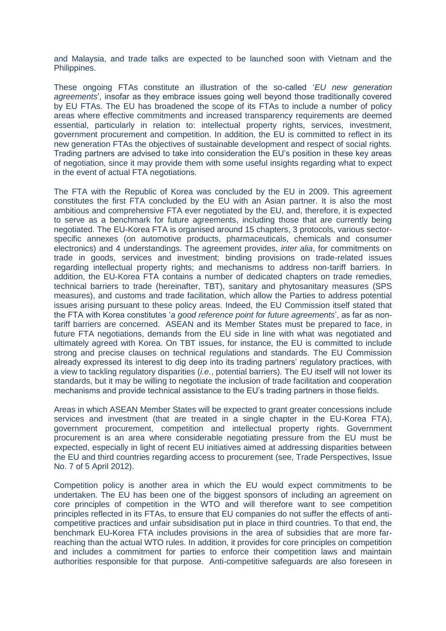and Malaysia, and trade talks are expected to be launched soon with Vietnam and the Philippines.

These ongoing FTAs constitute an illustration of the so-called '*EU new generation agreements*', insofar as they embrace issues going well beyond those traditionally covered by EU FTAs. The EU has broadened the scope of its FTAs to include a number of policy areas where effective commitments and increased transparency requirements are deemed essential, particularly in relation to: intellectual property rights, services, investment, government procurement and competition. In addition, the EU is committed to reflect in its new generation FTAs the objectives of sustainable development and respect of social rights. Trading partners are advised to take into consideration the EU's position in these key areas of negotiation, since it may provide them with some useful insights regarding what to expect in the event of actual FTA negotiations.

The FTA with the Republic of Korea was concluded by the EU in 2009. This agreement constitutes the first FTA concluded by the EU with an Asian partner. It is also the most ambitious and comprehensive FTA ever negotiated by the EU, and, therefore, it is expected to serve as a benchmark for future agreements, including those that are currently being negotiated. The EU-Korea FTA is organised around 15 chapters, 3 protocols, various sectorspecific annexes (on automotive products, pharmaceuticals, chemicals and consumer electronics) and 4 understandings. The agreement provides, *inter alia*, for commitments on trade in goods, services and investment; binding provisions on trade-related issues regarding intellectual property rights; and mechanisms to address non-tariff barriers. In addition, the EU-Korea FTA contains a number of dedicated chapters on trade remedies, technical barriers to trade (hereinafter, TBT), sanitary and phytosanitary measures (SPS measures), and customs and trade facilitation, which allow the Parties to address potential issues arising pursuant to these policy areas. Indeed, the EU Commission itself stated that the FTA with Korea constitutes '*a good reference point for future agreements*', as far as nontariff barriers are concerned. ASEAN and its Member States must be prepared to face, in future FTA negotiations, demands from the EU side in line with what was negotiated and ultimately agreed with Korea. On TBT issues, for instance, the EU is committed to include strong and precise clauses on technical regulations and standards. The EU Commission already expressed its interest to dig deep into its trading partners' regulatory practices, with a view to tackling regulatory disparities (*i.e.*, potential barriers). The EU itself will not lower its standards, but it may be willing to negotiate the inclusion of trade facilitation and cooperation mechanisms and provide technical assistance to the EU's trading partners in those fields.

Areas in which ASEAN Member States will be expected to grant greater concessions include services and investment (that are treated in a single chapter in the EU-Korea FTA), government procurement, competition and intellectual property rights. Government procurement is an area where considerable negotiating pressure from the EU must be expected, especially in light of recent EU initiatives aimed at addressing disparities between the EU and third countries regarding access to procurement (see, Trade Perspectives, Issue No. 7 of 5 April 2012).

Competition policy is another area in which the EU would expect commitments to be undertaken. The EU has been one of the biggest sponsors of including an agreement on core principles of competition in the WTO and will therefore want to see competition principles reflected in its FTAs, to ensure that EU companies do not suffer the effects of anticompetitive practices and unfair subsidisation put in place in third countries. To that end, the benchmark EU-Korea FTA includes provisions in the area of subsidies that are more farreaching than the actual WTO rules. In addition, it provides for core principles on competition and includes a commitment for parties to enforce their competition laws and maintain authorities responsible for that purpose. Anti-competitive safeguards are also foreseen in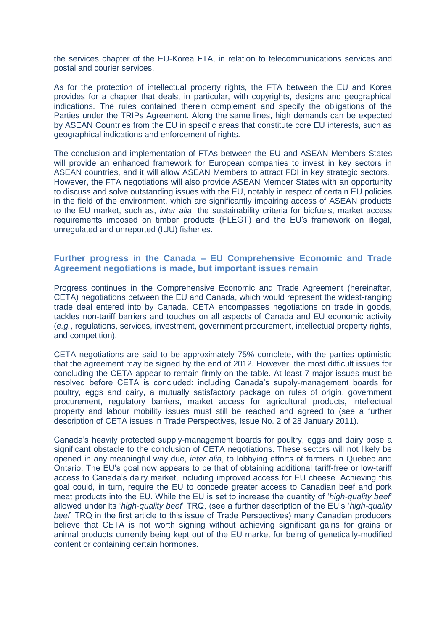the services chapter of the EU-Korea FTA, in relation to telecommunications services and postal and courier services.

As for the protection of intellectual property rights, the FTA between the EU and Korea provides for a chapter that deals, in particular, with copyrights, designs and geographical indications. The rules contained therein complement and specify the obligations of the Parties under the TRIPs Agreement. Along the same lines, high demands can be expected by ASEAN Countries from the EU in specific areas that constitute core EU interests, such as geographical indications and enforcement of rights.

The conclusion and implementation of FTAs between the EU and ASEAN Members States will provide an enhanced framework for European companies to invest in key sectors in ASEAN countries, and it will allow ASEAN Members to attract FDI in key strategic sectors. However, the FTA negotiations will also provide ASEAN Member States with an opportunity to discuss and solve outstanding issues with the EU, notably in respect of certain EU policies in the field of the environment, which are significantly impairing access of ASEAN products to the EU market, such as, *inter alia*, the sustainability criteria for biofuels, market access requirements imposed on timber products (FLEGT) and the EU's framework on illegal, unregulated and unreported (IUU) fisheries.

## **Further progress in the Canada – EU Comprehensive Economic and Trade Agreement negotiations is made, but important issues remain**

Progress continues in the Comprehensive Economic and Trade Agreement (hereinafter, CETA) negotiations between the EU and Canada, which would represent the widest-ranging trade deal entered into by Canada. CETA encompasses negotiations on trade in goods, tackles non-tariff barriers and touches on all aspects of Canada and EU economic activity (*e.g.*, regulations, services, investment, government procurement, intellectual property rights, and competition).

CETA negotiations are said to be approximately 75% complete, with the parties optimistic that the agreement may be signed by the end of 2012. However, the most difficult issues for concluding the CETA appear to remain firmly on the table. At least 7 major issues must be resolved before CETA is concluded: including Canada's supply-management boards for poultry, eggs and dairy, a mutually satisfactory package on rules of origin, government procurement, regulatory barriers, market access for agricultural products, intellectual property and labour mobility issues must still be reached and agreed to (see a further description of CETA issues in Trade Perspectives, Issue No. 2 of 28 January 2011).

Canada's heavily protected supply-management boards for poultry, eggs and dairy pose a significant obstacle to the conclusion of CETA negotiations. These sectors will not likely be opened in any meaningful way due, *inter alia*, to lobbying efforts of farmers in Quebec and Ontario. The EU's goal now appears to be that of obtaining additional tariff-free or low-tariff access to Canada's dairy market, including improved access for EU cheese. Achieving this goal could, in turn, require the EU to concede greater access to Canadian beef and pork meat products into the EU. While the EU is set to increase the quantity of '*high-quality beef*' allowed under its '*high-quality beef*' TRQ, (see a further description of the EU's '*high-quality beef*' TRQ in the first article to this issue of Trade Perspectives) many Canadian producers believe that CETA is not worth signing without achieving significant gains for grains or animal products currently being kept out of the EU market for being of genetically-modified content or containing certain hormones.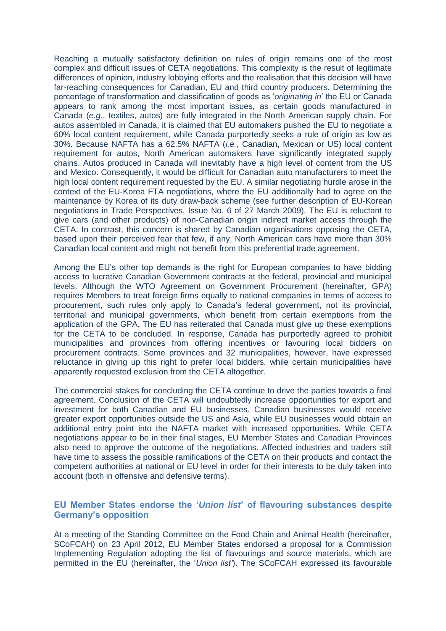Reaching a mutually satisfactory definition on rules of origin remains one of the most complex and difficult issues of CETA negotiations. This complexity is the result of legitimate differences of opinion, industry lobbying efforts and the realisation that this decision will have far-reaching consequences for Canadian, EU and third country producers. Determining the percentage of transformation and classification of goods as '*originating in*' the EU or Canada appears to rank among the most important issues, as certain goods manufactured in Canada (*e.g.*, textiles, autos) are fully integrated in the North American supply chain. For autos assembled in Canada, it is claimed that EU automakers pushed the EU to negotiate a 60% local content requirement, while Canada purportedly seeks a rule of origin as low as 30%. Because NAFTA has a 62.5% NAFTA (*i.e.*, Canadian, Mexican or US) local content requirement for autos, North American automakers have significantly integrated supply chains. Autos produced in Canada will inevitably have a high level of content from the US and Mexico. Consequently, it would be difficult for Canadian auto manufacturers to meet the high local content requirement requested by the EU. A similar negotiating hurdle arose in the context of the EU-Korea FTA negotiations, where the EU additionally had to agree on the maintenance by Korea of its duty draw-back scheme (see further description of EU-Korean negotiations in Trade Perspectives, Issue No. 6 of 27 March 2009). The EU is reluctant to give cars (and other products) of non-Canadian origin indirect market access through the CETA. In contrast, this concern is shared by Canadian organisations opposing the CETA, based upon their perceived fear that few, if any, North American cars have more than 30% Canadian local content and might not benefit from this preferential trade agreement.

Among the EU's other top demands is the right for European companies to have bidding access to lucrative Canadian Government contracts at the federal, provincial and municipal levels. Although the WTO Agreement on Government Procurement (hereinafter, GPA) requires Members to treat foreign firms equally to national companies in terms of access to procurement, such rules only apply to Canada's federal government, not its provincial, territorial and municipal governments, which benefit from certain exemptions from the application of the GPA. The EU has reiterated that Canada must give up these exemptions for the CETA to be concluded. In response, Canada has purportedly agreed to prohibit municipalities and provinces from offering incentives or favouring local bidders on procurement contracts. Some provinces and 32 municipalities, however, have expressed reluctance in giving up this right to prefer local bidders, while certain municipalities have apparently requested exclusion from the CETA altogether.

The commercial stakes for concluding the CETA continue to drive the parties towards a final agreement. Conclusion of the CETA will undoubtedly increase opportunities for export and investment for both Canadian and EU businesses. Canadian businesses would receive greater export opportunities outside the US and Asia, while EU businesses would obtain an additional entry point into the NAFTA market with increased opportunities. While CETA negotiations appear to be in their final stages, EU Member States and Canadian Provinces also need to approve the outcome of the negotiations. Affected industries and traders still have time to assess the possible ramifications of the CETA on their products and contact the competent authorities at national or EU level in order for their interests to be duly taken into account (both in offensive and defensive terms).

## **EU Member States endorse the '***Union list***' of flavouring substances despite Germany's opposition**

At a meeting of the Standing Committee on the Food Chain and Animal Health (hereinafter, SCoFCAH) on 23 April 2012, EU Member States endorsed a proposal for a Commission Implementing Regulation adopting the list of flavourings and source materials, which are permitted in the EU (hereinafter, the '*Union list'*). The SCoFCAH expressed its favourable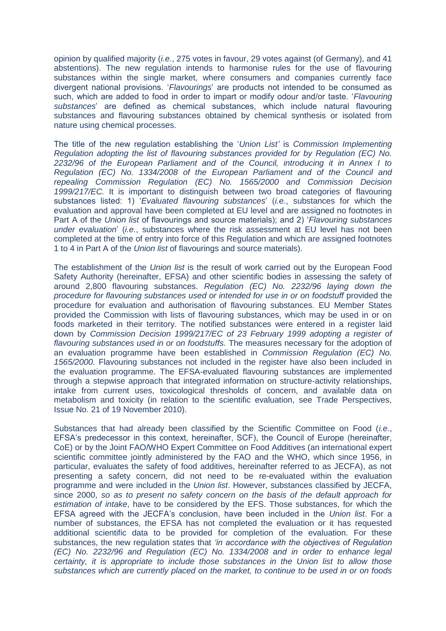opinion by qualified majority (*i.e.*, 275 votes in favour, 29 votes against (of Germany), and 41 abstentions). The new regulation intends to harmonise rules for the use of flavouring substances within the single market, where consumers and companies currently face divergent national provisions. '*Flavourings*' are products not intended to be consumed as such, which are added to food in order to impart or modify odour and/or taste. '*Flavouring substances*' are defined as chemical substances, which include natural flavouring substances and flavouring substances obtained by chemical synthesis or isolated from nature using chemical processes.

The title of the new regulation establishing the '*Union List'* is *Commission Implementing Regulation adopting the list of flavouring substances provided for by Regulation (EC) No. 2232/96 of the European Parliament and of the Council, introducing it in Annex I to Regulation (EC) No. 1334/2008 of the European Parliament and of the Council and repealing Commission Regulation (EC) No. 1565/2000 and Commission Decision 1999/217/EC.* It is important to distinguish between two broad categories of flavouring substances listed: 1) '*Evaluated flavouring substances*' (*i.e.*, substances for which the evaluation and approval have been completed at EU level and are assigned no footnotes in Part A of the *Union list* of flavourings and source materials); and 2) '*Flavouring substances under evaluation*' (*i.e.*, substances where the risk assessment at EU level has not been completed at the time of entry into force of this Regulation and which are assigned footnotes 1 to 4 in Part A of the *Union list* of flavourings and source materials).

The establishment of the *Union list* is the result of work carried out by the European Food Safety Authority (hereinafter, EFSA) and other scientific bodies in assessing the safety of around 2,800 flavouring substances. *Regulation (EC) No. 2232/96 laying down the procedure for flavouring substances used or intended for use in or on foodstuff* provided the procedure for evaluation and authorisation of flavouring substances. EU Member States provided the Commission with lists of flavouring substances, which may be used in or on foods marketed in their territory. The notified substances were entered in a register laid down by *Commission Decision 1999/217/EC of 23 February 1999 adopting a register of flavouring substances used in or on foodstuffs.* The measures necessary for the adoption of an evaluation programme have been established in *Commission Regulation (EC) No. 1565/2000.* Flavouring substances not included in the register have also been included in the evaluation programme. The EFSA-evaluated flavouring substances are implemented through a stepwise approach that integrated information on structure-activity relationships, intake from current uses, toxicological thresholds of concern, and available data on metabolism and toxicity (in relation to the scientific evaluation, see Trade Perspectives, Issue No. 21 of 19 November 2010).

Substances that had already been classified by the Scientific Committee on Food (*i.e.*, EFSA's predecessor in this context, hereinafter, SCF), the Council of Europe (hereinafter, CoE) or by the Joint FAO/WHO Expert Committee on Food Additives (an international expert scientific committee jointly administered by the FAO and the WHO, which since 1956, in particular, evaluates the safety of food additives, hereinafter referred to as JECFA), as not presenting a safety concern, did not need to be re-evaluated within the evaluation programme and were included in the *Union list*. However, substances classified by JECFA, since 2000, *so as to present no safety concern on the basis of the default approach for estimation of intake*, have to be considered by the EFS. Those substances, for which the EFSA agreed with the JECFA's conclusion, have been included in the *Union list*. For a number of substances, the EFSA has not completed the evaluation or it has requested additional scientific data to be provided for completion of the evaluation. For these substances, the new regulation states that *'in accordance with the objectives of Regulation (EC) No. 2232/96 and Regulation (EC) No. 1334/2008 and in order to enhance legal certainty, it is appropriate to include those substances in the Union list to allow those substances which are currently placed on the market, to continue to be used in or on foods*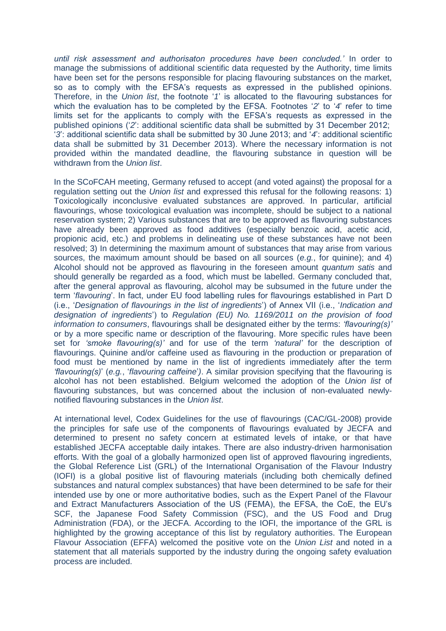*until risk assessment and authorisaton procedures have been concluded.'* In order to manage the submissions of additional scientific data requested by the Authority, time limits have been set for the persons responsible for placing flavouring substances on the market, so as to comply with the EFSA's requests as expressed in the published opinions. Therefore, in the *Union list*, the footnote '*1*' is allocated to the flavouring substances for which the evaluation has to be completed by the EFSA. Footnotes '*2*' to '*4*' refer to time limits set for the applicants to comply with the EFSA's requests as expressed in the published opinions ('*2*': additional scientific data shall be submitted by 31 December 2012; '*3*': additional scientific data shall be submitted by 30 June 2013; and '*4*': additional scientific data shall be submitted by 31 December 2013). Where the necessary information is not provided within the mandated deadline, the flavouring substance in question will be withdrawn from the *Union list*.

In the SCoFCAH meeting, Germany refused to accept (and voted against) the proposal for a regulation setting out the *Union list* and expressed this refusal for the following reasons: 1) Toxicologically inconclusive evaluated substances are approved. In particular, artificial flavourings, whose toxicological evaluation was incomplete, should be subject to a national reservation system; 2) Various substances that are to be approved as flavouring substances have already been approved as food additives (especially benzoic acid, acetic acid, propionic acid, etc.) and problems in delineating use of these substances have not been resolved; 3) In determining the maximum amount of substances that may arise from various sources, the maximum amount should be based on all sources (*e.g.*, for quinine); and 4) Alcohol should not be approved as flavouring in the foreseen amount *quantum satis* and should generally be regarded as a food, which must be labelled. Germany concluded that, after the general approval as flavouring, alcohol may be subsumed in the future under the term '*flavouring*'. In fact, under EU food labelling rules for flavourings established in Part D (i.e., '*Designation of flavourings in the list of ingredients*') of Annex VII (i.e., '*Indication and designation of ingredients*') to *Regulation (EU) No. 1169/2011 on the provision of food information to consumers*, flavourings shall be designated either by the terms: *'flavouring(s)'* or by a more specific name or description of the flavouring. More specific rules have been set for *'smoke flavouring(s)'* and for use of the term *'natural'* for the description of flavourings. Quinine and/or caffeine used as flavouring in the production or preparation of food must be mentioned by name in the list of ingredients immediately after the term *'flavouring(s)*' (*e.g.*, '*flavouring caffeine*'*)*. A similar provision specifying that the flavouring is alcohol has not been established. Belgium welcomed the adoption of the *Union list* of flavouring substances, but was concerned about the inclusion of non-evaluated newlynotified flavouring substances in the *Union list*.

At international level, Codex Guidelines for the use of flavourings (CAC/GL-2008) provide the principles for safe use of the components of flavourings evaluated by JECFA and determined to present no safety concern at estimated levels of intake, or that have established JECFA acceptable daily intakes. There are also industry-driven harmonisation efforts. With the goal of a globally harmonized open list of approved flavouring ingredients, the Global Reference List (GRL) of the International Organisation of the Flavour Industry (IOFI) is a global positive list of flavouring materials (including both chemically defined substances and natural complex substances) that have been determined to be safe for their intended use by one or more authoritative bodies, such as the Expert Panel of the Flavour and Extract Manufacturers Association of the US (FEMA), the EFSA, the CoE, the EU's SCF, the Japanese Food Safety Commission (FSC), and the US Food and Drug Administration (FDA), or the JECFA. According to the IOFI, the importance of the GRL is highlighted by the growing acceptance of this list by regulatory authorities. The European Flavour Association (EFFA) welcomed the positive vote on the *Union List* and noted in a statement that all materials supported by the industry during the ongoing safety evaluation process are included.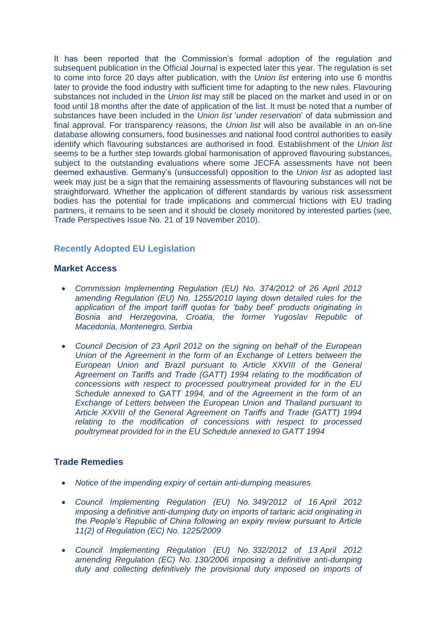It has been reported that the Commission's formal adoption of the regulation and subsequent publication in the Official Journal is expected later this year. The regulation is set to come into force 20 days after publication, with the *Union list* entering into use 6 months later to provide the food industry with sufficient time for adapting to the new rules. Flavouring substances not included in the *Union list* may still be placed on the market and used in or on food until 18 months after the date of application of the list. It must be noted that a number of substances have been included in the *Union list* '*under reservation*' of data submission and final approval. For transparency reasons, the *Union list* will also be available in an on-line database allowing consumers, food businesses and national food control authorities to easily identify which flavouring substances are authorised in food. Establishment of the *Union list* seems to be a further step towards global harmonisation of approved flavouring substances, subject to the outstanding evaluations where some JECFA assessments have not been deemed exhaustive. Germany's (unsuccessful) opposition to the *Union list* as adopted last week may just be a sign that the remaining assessments of flavouring substances will not be straightforward. Whether the application of different standards by various risk assessment bodies has the potential for trade implications and commercial frictions with EU trading partners, it remains to be seen and it should be closely monitored by interested parties (see, Trade Perspectives Issue No. 21 of 19 November 2010).

# **Recently Adopted EU Legislation**

#### **Market Access**

- *[Commission Implementing Regulation \(EU\) No. 374/2012 of 26 April 2012](http://eur-lex.europa.eu/LexUriServ/LexUriServ.do?uri=OJ:L:2012:118:0001:0003:EN:PDF)  [amending Regulation \(EU\) No. 1255/2010 laying down detailed rules for the](http://eur-lex.europa.eu/LexUriServ/LexUriServ.do?uri=OJ:L:2012:118:0001:0003:EN:PDF)  [application of the import tariff quotas for 'baby beef' products originating in](http://eur-lex.europa.eu/LexUriServ/LexUriServ.do?uri=OJ:L:2012:118:0001:0003:EN:PDF)  [Bosnia and Herzegovina, Croatia, the former Yugoslav Republic of](http://eur-lex.europa.eu/LexUriServ/LexUriServ.do?uri=OJ:L:2012:118:0001:0003:EN:PDF)  [Macedonia, Montenegro, Serbia](http://eur-lex.europa.eu/LexUriServ/LexUriServ.do?uri=OJ:L:2012:118:0001:0003:EN:PDF)*
- *[Council Decision of 23 April 2012 on the signing on behalf of the European](http://eur-lex.europa.eu/LexUriServ/LexUriServ.do?uri=OJ:L:2012:117:0001:0001:EN:PDF)  [Union of the Agreement in the form of an Exchange of Letters between the](http://eur-lex.europa.eu/LexUriServ/LexUriServ.do?uri=OJ:L:2012:117:0001:0001:EN:PDF)  [European Union and Brazil pursuant to Article XXVIII of the General](http://eur-lex.europa.eu/LexUriServ/LexUriServ.do?uri=OJ:L:2012:117:0001:0001:EN:PDF)  [Agreement on Tariffs and Trade \(GATT\) 1994 relating to the modification of](http://eur-lex.europa.eu/LexUriServ/LexUriServ.do?uri=OJ:L:2012:117:0001:0001:EN:PDF)  [concessions with respect to processed poultrymeat provided for in the EU](http://eur-lex.europa.eu/LexUriServ/LexUriServ.do?uri=OJ:L:2012:117:0001:0001:EN:PDF) [Schedule annexed to GATT 1994, and of the Agreement in the form of an](http://eur-lex.europa.eu/LexUriServ/LexUriServ.do?uri=OJ:L:2012:117:0001:0001:EN:PDF)  [Exchange of Letters between the European Union and Thailand pursuant to](http://eur-lex.europa.eu/LexUriServ/LexUriServ.do?uri=OJ:L:2012:117:0001:0001:EN:PDF)  [Article XXVIII of the General Agreement on Tariffs and Trade \(GATT\) 1994](http://eur-lex.europa.eu/LexUriServ/LexUriServ.do?uri=OJ:L:2012:117:0001:0001:EN:PDF)  [relating to the modification of concessions with respect to processed](http://eur-lex.europa.eu/LexUriServ/LexUriServ.do?uri=OJ:L:2012:117:0001:0001:EN:PDF)  [poultrymeat provided for in the EU Schedule annexed to GATT 1994](http://eur-lex.europa.eu/LexUriServ/LexUriServ.do?uri=OJ:L:2012:117:0001:0001:EN:PDF)*

#### **Trade Remedies**

- *[Notice of the impending expiry of certain anti-dumping measures](http://eur-lex.europa.eu/LexUriServ/LexUriServ.do?uri=OJ:C:2012:127:0003:0003:EN:PDF)*
- *[Council Implementing Regulation \(EU\) No.](http://eur-lex.europa.eu/LexUriServ/LexUriServ.do?uri=OJ:L:2012:110:0003:0016:EN:PDF) 349/2012 of 16 April 2012 [imposing a definitive anti-dumping duty on imports of tartaric acid originating in](http://eur-lex.europa.eu/LexUriServ/LexUriServ.do?uri=OJ:L:2012:110:0003:0016:EN:PDF)  [the People's Republic of China following an expiry review pursuant to Article](http://eur-lex.europa.eu/LexUriServ/LexUriServ.do?uri=OJ:L:2012:110:0003:0016:EN:PDF)  [11\(2\) of Regulation \(EC\) No.](http://eur-lex.europa.eu/LexUriServ/LexUriServ.do?uri=OJ:L:2012:110:0003:0016:EN:PDF) 1225/2009*
- *[Council Implementing Regulation \(EU\) No.](http://eur-lex.europa.eu/LexUriServ/LexUriServ.do?uri=OJ:L:2012:108:0001:0002:EN:PDF) 332/2012 of 13 April 2012 amending Regulation (EC) No. [130/2006 imposing a definitive anti-dumping](http://eur-lex.europa.eu/LexUriServ/LexUriServ.do?uri=OJ:L:2012:108:0001:0002:EN:PDF)  [duty and collecting definitively the provisional duty imposed on imports of](http://eur-lex.europa.eu/LexUriServ/LexUriServ.do?uri=OJ:L:2012:108:0001:0002:EN:PDF)*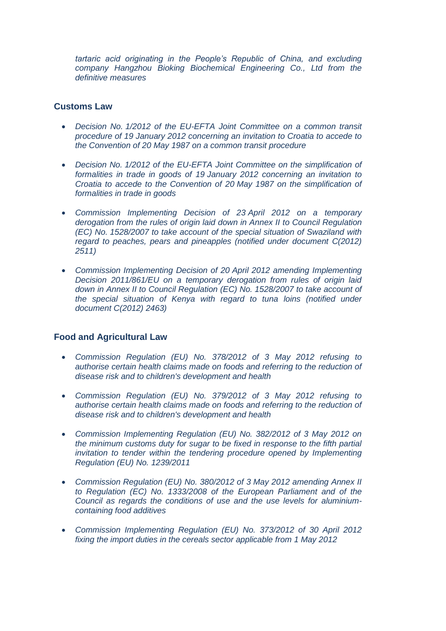*tartaric acid originating in the People's Republic of China, and excluding company Hangzhou Bioking Biochemical Engineering Co., Ltd from the definitive measures*

#### **Customs Law**

- *Decision No. 1/2012 of the EU-EFTA [Joint Committee on a common transit](http://eur-lex.europa.eu/LexUriServ/LexUriServ.do?uri=OJ:L:2012:114:0029:0030:EN:PDF)  procedure of 19 [January 2012 concerning an invitation to Croatia to accede to](http://eur-lex.europa.eu/LexUriServ/LexUriServ.do?uri=OJ:L:2012:114:0029:0030:EN:PDF)  the Convention of 20 [May 1987 on a common transit procedure](http://eur-lex.europa.eu/LexUriServ/LexUriServ.do?uri=OJ:L:2012:114:0029:0030:EN:PDF)*
- *Decision No. [1/2012 of the EU-EFTA Joint Committee on the simplification of](http://eur-lex.europa.eu/LexUriServ/LexUriServ.do?uri=OJ:L:2012:114:0031:0032:EN:PDF)  formalities in trade in goods of 19 [January 2012 concerning an invitation to](http://eur-lex.europa.eu/LexUriServ/LexUriServ.do?uri=OJ:L:2012:114:0031:0032:EN:PDF)  [Croatia to accede to the Convention of 20](http://eur-lex.europa.eu/LexUriServ/LexUriServ.do?uri=OJ:L:2012:114:0031:0032:EN:PDF) May 1987 on the simplification of [formalities in trade in goods](http://eur-lex.europa.eu/LexUriServ/LexUriServ.do?uri=OJ:L:2012:114:0031:0032:EN:PDF)*
- *[Commission Implementing Decision of 23](http://eur-lex.europa.eu/LexUriServ/LexUriServ.do?uri=OJ:L:2012:113:0012:0013:EN:PDF) April 2012 on a temporary [derogation from the rules of origin laid down in Annex II to Council Regulation](http://eur-lex.europa.eu/LexUriServ/LexUriServ.do?uri=OJ:L:2012:113:0012:0013:EN:PDF)  (EC) No. [1528/2007 to take account of the special situation of Swaziland with](http://eur-lex.europa.eu/LexUriServ/LexUriServ.do?uri=OJ:L:2012:113:0012:0013:EN:PDF)  regard to peaches, pears and pineapples (notified under document C(2012) [2511\)](http://eur-lex.europa.eu/LexUriServ/LexUriServ.do?uri=OJ:L:2012:113:0012:0013:EN:PDF)*
- *[Commission Implementing Decision of 20](http://eur-lex.europa.eu/LexUriServ/LexUriServ.do?uri=OJ:L:2012:110:0039:0040:EN:PDF) April 2012 amending Implementing [Decision 2011/861/EU on a temporary derogation from rules of origin laid](http://eur-lex.europa.eu/LexUriServ/LexUriServ.do?uri=OJ:L:2012:110:0039:0040:EN:PDF)  [down in Annex II to Council Regulation \(EC\) No.](http://eur-lex.europa.eu/LexUriServ/LexUriServ.do?uri=OJ:L:2012:110:0039:0040:EN:PDF) 1528/2007 to take account of [the special situation of Kenya with regard to tuna loins \(notified under](http://eur-lex.europa.eu/LexUriServ/LexUriServ.do?uri=OJ:L:2012:110:0039:0040:EN:PDF)  [document C\(2012\) 2463\)](http://eur-lex.europa.eu/LexUriServ/LexUriServ.do?uri=OJ:L:2012:110:0039:0040:EN:PDF)*

#### **Food and Agricultural Law**

- *[Commission Regulation \(EU\) No. 378/2012 of 3 May 2012 refusing to](http://eur-lex.europa.eu/LexUriServ/LexUriServ.do?uri=OJ:L:2012:119:0009:0011:EN:PDF)  [authorise certain health claims made on foods and referring to the reduction of](http://eur-lex.europa.eu/LexUriServ/LexUriServ.do?uri=OJ:L:2012:119:0009:0011:EN:PDF)  [disease risk and to children's development and health](http://eur-lex.europa.eu/LexUriServ/LexUriServ.do?uri=OJ:L:2012:119:0009:0011:EN:PDF)*
- *[Commission Regulation \(EU\) No. 379/2012 of 3 May 2012 refusing to](http://eur-lex.europa.eu/LexUriServ/LexUriServ.do?uri=OJ:L:2012:119:0012:0013:EN:PDF)  [authorise certain health claims made on foods and referring to the reduction of](http://eur-lex.europa.eu/LexUriServ/LexUriServ.do?uri=OJ:L:2012:119:0012:0013:EN:PDF)  [disease risk and to children's development and health](http://eur-lex.europa.eu/LexUriServ/LexUriServ.do?uri=OJ:L:2012:119:0012:0013:EN:PDF)*
- *[Commission Implementing Regulation \(EU\) No. 382/2012 of 3 May 2012 on](http://eur-lex.europa.eu/LexUriServ/LexUriServ.do?uri=OJ:L:2012:119:0041:0042:EN:PDF)  [the minimum customs duty for sugar to be fixed in response to the fifth partial](http://eur-lex.europa.eu/LexUriServ/LexUriServ.do?uri=OJ:L:2012:119:0041:0042:EN:PDF)  invitation to tender within the tendering procedure opened by Implementing [Regulation \(EU\) No. 1239/2011](http://eur-lex.europa.eu/LexUriServ/LexUriServ.do?uri=OJ:L:2012:119:0041:0042:EN:PDF)*
- *[Commission Regulation \(EU\) No. 380/2012 of 3 May 2012 amending Annex II](http://eur-lex.europa.eu/LexUriServ/LexUriServ.do?uri=OJ:L:2012:119:0014:0038:EN:PDF)  [to Regulation \(EC\) No. 1333/2008 of](http://eur-lex.europa.eu/LexUriServ/LexUriServ.do?uri=OJ:L:2012:119:0014:0038:EN:PDF) the European Parliament and of the [Council as regards the conditions of use and the use levels for aluminium](http://eur-lex.europa.eu/LexUriServ/LexUriServ.do?uri=OJ:L:2012:119:0014:0038:EN:PDF)[containing food additives](http://eur-lex.europa.eu/LexUriServ/LexUriServ.do?uri=OJ:L:2012:119:0014:0038:EN:PDF)*
- *[Commission Implementing Regulation \(EU\) No. 373/2012 of 30 April 2012](http://eur-lex.europa.eu/LexUriServ/LexUriServ.do?uri=OJ:L:2012:117:0004:0006:EN:PDF)  [fixing the import duties in the cereals sector applicable from 1 May 2012](http://eur-lex.europa.eu/LexUriServ/LexUriServ.do?uri=OJ:L:2012:117:0004:0006:EN:PDF)*